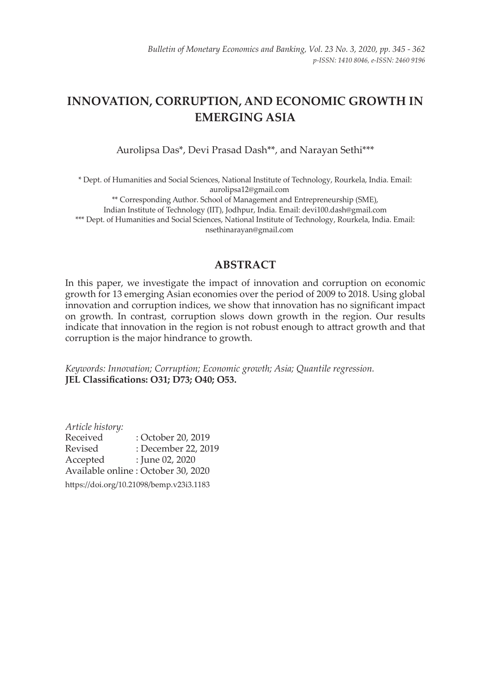# **INNOVATION, CORRUPTION, AND ECONOMIC GROWTH IN EMERGING ASIA**

Aurolipsa Das\*, Devi Prasad Dash\*\*, and Narayan Sethi\*\*\*

\* Dept. of Humanities and Social Sciences, National Institute of Technology, Rourkela, India. Email: aurolipsa12@gmail.com \*\* Corresponding Author. School of Management and Entrepreneurship (SME), Indian Institute of Technology (IIT), Jodhpur, India. Email: devi100.dash@gmail.com \*\*\* Dept. of Humanities and Social Sciences, National Institute of Technology, Rourkela, India. Email: nsethinarayan@gmail.com

# **ABSTRACT**

In this paper, we investigate the impact of innovation and corruption on economic growth for 13 emerging Asian economies over the period of 2009 to 2018. Using global innovation and corruption indices, we show that innovation has no significant impact on growth. In contrast, corruption slows down growth in the region. Our results indicate that innovation in the region is not robust enough to attract growth and that corruption is the major hindrance to growth.

*Keywords: Innovation; Corruption; Economic growth; Asia; Quantile regression.* **JEL Classifications: O31; D73; O40; O53.** 

*Article history:* : October 20, 2019 Revised : December 22, 2019 Accepted : June 02, 2020 Available online : October 30, 2020

https://doi.org/10.21098/bemp.v23i3.1183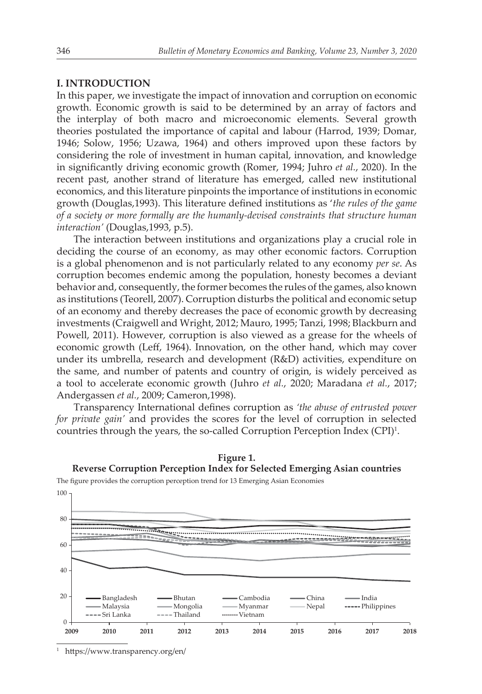## **I. INTRODUCTION**

In this paper, we investigate the impact of innovation and corruption on economic growth. Economic growth is said to be determined by an array of factors and the interplay of both macro and microeconomic elements. Several growth theories postulated the importance of capital and labour (Harrod, 1939; Domar, 1946; Solow, 1956; Uzawa, 1964) and others improved upon these factors by considering the role of investment in human capital, innovation, and knowledge in significantly driving economic growth (Romer, 1994; Juhro *et al.*, 2020). In the recent past, another strand of literature has emerged, called new institutional economics, and this literature pinpoints the importance of institutions in economic growth (Douglas,1993). This literature defined institutions as '*the rules of the game of a society or more formally are the humanly-devised constraints that structure human interaction'* (Douglas,1993, p.5).

The interaction between institutions and organizations play a crucial role in deciding the course of an economy, as may other economic factors. Corruption is a global phenomenon and is not particularly related to any economy *per se*. As corruption becomes endemic among the population, honesty becomes a deviant behavior and, consequently, the former becomes the rules of the games, also known as institutions (Teorell, 2007). Corruption disturbs the political and economic setup of an economy and thereby decreases the pace of economic growth by decreasing investments (Craigwell and Wright, 2012; Mauro, 1995; Tanzi, 1998; Blackburn and Powell, 2011). However, corruption is also viewed as a grease for the wheels of economic growth (Leff, 1964). Innovation, on the other hand, which may cover under its umbrella, research and development (R&D) activities, expenditure on the same, and number of patents and country of origin, is widely perceived as a tool to accelerate economic growth (Juhro *et al.*, 2020; Maradana *et al.*, 2017; Andergassen *et al.*, 2009; Cameron,1998).

Transparency International defines corruption as *'the abuse of entrusted power for private gain'* and provides the scores for the level of corruption in selected countries through the years, the so-called Corruption Perception Index (CPI)<sup>1</sup>.



**Figure 1. Reverse Corruption Perception Index for Selected Emerging Asian countries**

1 https://www.transparency.org/en/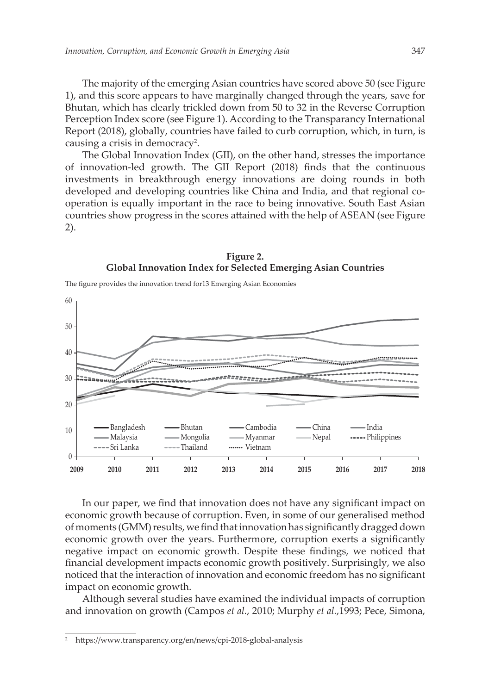The majority of the emerging Asian countries have scored above 50 (see Figure 1), and this score appears to have marginally changed through the years, save for Bhutan, which has clearly trickled down from 50 to 32 in the Reverse Corruption Perception Index score (see Figure 1). According to the Transparancy International Report (2018), globally, countries have failed to curb corruption, which, in turn, is causing a crisis in democracy<sup>2</sup>.

The Global Innovation Index (GII), on the other hand, stresses the importance of innovation-led growth. The GII Report (2018) finds that the continuous investments in breakthrough energy innovations are doing rounds in both developed and developing countries like China and India, and that regional cooperation is equally important in the race to being innovative. South East Asian countries show progress in the scores attained with the help of ASEAN (see Figure 2).



The figure provides the innovation trend for13 Emerging Asian Economies



In our paper, we find that innovation does not have any significant impact on economic growth because of corruption. Even, in some of our generalised method of moments (GMM) results, we find that innovation has significantly dragged down economic growth over the years. Furthermore, corruption exerts a significantly negative impact on economic growth. Despite these findings, we noticed that financial development impacts economic growth positively. Surprisingly, we also noticed that the interaction of innovation and economic freedom has no significant impact on economic growth.

Although several studies have examined the individual impacts of corruption and innovation on growth (Campos *et al.*, 2010; Murphy *et al.*,1993; Pece, Simona,

<sup>2</sup> https://www.transparency.org/en/news/cpi-2018-global-analysis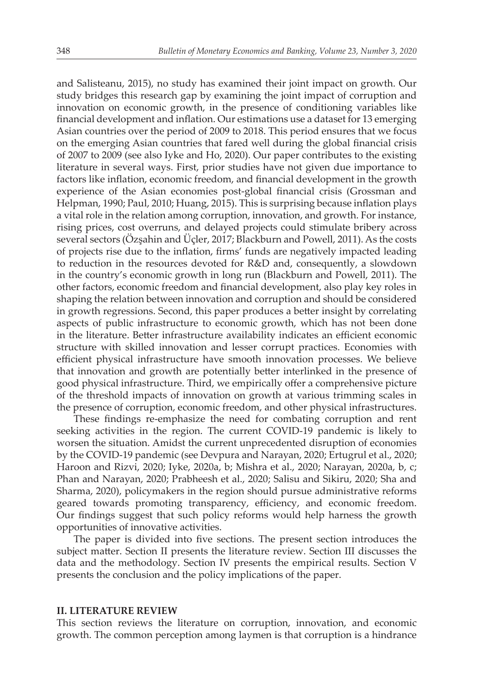and Salisteanu, 2015), no study has examined their joint impact on growth. Our study bridges this research gap by examining the joint impact of corruption and innovation on economic growth, in the presence of conditioning variables like financial development and inflation. Our estimations use a dataset for 13 emerging Asian countries over the period of 2009 to 2018. This period ensures that we focus on the emerging Asian countries that fared well during the global financial crisis of 2007 to 2009 (see also Iyke and Ho, 2020). Our paper contributes to the existing literature in several ways. First, prior studies have not given due importance to factors like inflation, economic freedom, and financial development in the growth experience of the Asian economies post-global financial crisis (Grossman and Helpman, 1990; Paul, 2010; Huang, 2015). This is surprising because inflation plays a vital role in the relation among corruption, innovation, and growth. For instance, rising prices, cost overruns, and delayed projects could stimulate bribery across several sectors (Özşahin and Üçler, 2017; Blackburn and Powell, 2011). As the costs of projects rise due to the inflation, firms' funds are negatively impacted leading to reduction in the resources devoted for R&D and, consequently, a slowdown in the country's economic growth in long run (Blackburn and Powell, 2011). The other factors, economic freedom and financial development, also play key roles in shaping the relation between innovation and corruption and should be considered in growth regressions. Second, this paper produces a better insight by correlating aspects of public infrastructure to economic growth, which has not been done in the literature. Better infrastructure availability indicates an efficient economic structure with skilled innovation and lesser corrupt practices. Economies with efficient physical infrastructure have smooth innovation processes. We believe that innovation and growth are potentially better interlinked in the presence of good physical infrastructure. Third, we empirically offer a comprehensive picture of the threshold impacts of innovation on growth at various trimming scales in the presence of corruption, economic freedom, and other physical infrastructures.

These findings re-emphasize the need for combating corruption and rent seeking activities in the region. The current COVID-19 pandemic is likely to worsen the situation. Amidst the current unprecedented disruption of economies by the COVID-19 pandemic (see Devpura and Narayan, 2020; Ertugrul et al., 2020; Haroon and Rizvi, 2020; Iyke, 2020a, b; Mishra et al., 2020; Narayan, 2020a, b, c; Phan and Narayan, 2020; Prabheesh et al., 2020; Salisu and Sikiru, 2020; Sha and Sharma, 2020), policymakers in the region should pursue administrative reforms geared towards promoting transparency, efficiency, and economic freedom. Our findings suggest that such policy reforms would help harness the growth opportunities of innovative activities.

The paper is divided into five sections. The present section introduces the subject matter. Section II presents the literature review. Section III discusses the data and the methodology. Section IV presents the empirical results. Section V presents the conclusion and the policy implications of the paper.

## **II. LITERATURE REVIEW**

This section reviews the literature on corruption, innovation, and economic growth. The common perception among laymen is that corruption is a hindrance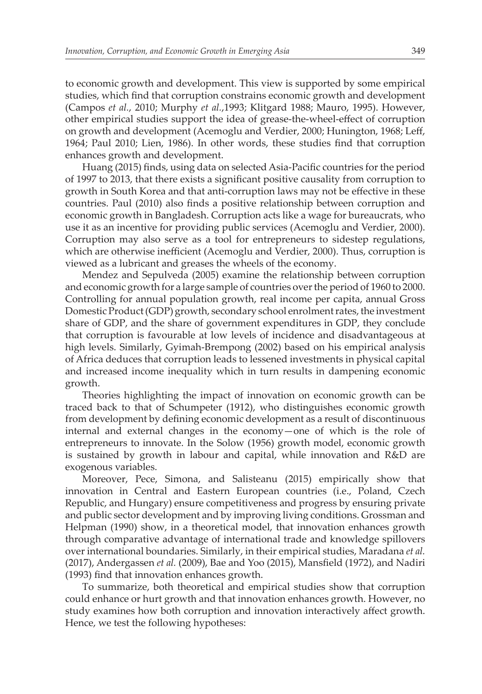to economic growth and development. This view is supported by some empirical studies, which find that corruption constrains economic growth and development (Campos *et al.*, 2010; Murphy *et al.*,1993; Klitgard 1988; Mauro, 1995). However, other empirical studies support the idea of grease-the-wheel-effect of corruption on growth and development (Acemoglu and Verdier, 2000; Hunington, 1968; Leff, 1964; Paul 2010; Lien, 1986). In other words, these studies find that corruption enhances growth and development.

Huang (2015) finds, using data on selected Asia-Pacific countries for the period of 1997 to 2013, that there exists a significant positive causality from corruption to growth in South Korea and that anti-corruption laws may not be effective in these countries. Paul (2010) also finds a positive relationship between corruption and economic growth in Bangladesh. Corruption acts like a wage for bureaucrats, who use it as an incentive for providing public services (Acemoglu and Verdier, 2000). Corruption may also serve as a tool for entrepreneurs to sidestep regulations, which are otherwise inefficient (Acemoglu and Verdier, 2000). Thus, corruption is viewed as a lubricant and greases the wheels of the economy.

Mendez and Sepulveda (2005) examine the relationship between corruption and economic growth for a large sample of countries over the period of 1960 to 2000. Controlling for annual population growth, real income per capita, annual Gross Domestic Product (GDP) growth, secondary school enrolment rates, the investment share of GDP, and the share of government expenditures in GDP, they conclude that corruption is favourable at low levels of incidence and disadvantageous at high levels. Similarly, Gyimah-Brempong (2002) based on his empirical analysis of Africa deduces that corruption leads to lessened investments in physical capital and increased income inequality which in turn results in dampening economic growth.

Theories highlighting the impact of innovation on economic growth can be traced back to that of Schumpeter (1912), who distinguishes economic growth from development by defining economic development as a result of discontinuous internal and external changes in the economy—one of which is the role of entrepreneurs to innovate. In the Solow (1956) growth model, economic growth is sustained by growth in labour and capital, while innovation and R&D are exogenous variables.

Moreover, Pece, Simona, and Salisteanu (2015) empirically show that innovation in Central and Eastern European countries (i.e., Poland, Czech Republic, and Hungary) ensure competitiveness and progress by ensuring private and public sector development and by improving living conditions. Grossman and Helpman (1990) show, in a theoretical model, that innovation enhances growth through comparative advantage of international trade and knowledge spillovers over international boundaries. Similarly, in their empirical studies, Maradana *et al.* (2017), Andergassen *et al.* (2009), Bae and Yoo (2015), Mansfield (1972), and Nadiri (1993) find that innovation enhances growth.

To summarize, both theoretical and empirical studies show that corruption could enhance or hurt growth and that innovation enhances growth. However, no study examines how both corruption and innovation interactively affect growth. Hence, we test the following hypotheses: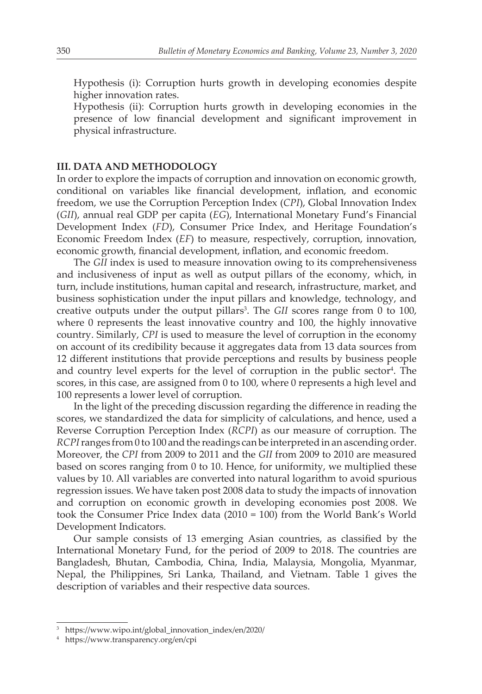Hypothesis (i): Corruption hurts growth in developing economies despite higher innovation rates.

 Hypothesis (ii): Corruption hurts growth in developing economies in the presence of low financial development and significant improvement in physical infrastructure.

## **III. DATA AND METHODOLOGY**

In order to explore the impacts of corruption and innovation on economic growth, conditional on variables like financial development, inflation, and economic freedom, we use the Corruption Perception Index (*CPI*), Global Innovation Index (*GII*), annual real GDP per capita (*EG*), International Monetary Fund's Financial Development Index (*FD*), Consumer Price Index, and Heritage Foundation's Economic Freedom Index (*EF*) to measure, respectively, corruption, innovation, economic growth, financial development, inflation, and economic freedom.

The *GII* index is used to measure innovation owing to its comprehensiveness and inclusiveness of input as well as output pillars of the economy, which, in turn, include institutions, human capital and research, infrastructure, market, and business sophistication under the input pillars and knowledge, technology, and creative outputs under the output pillars<sup>3</sup>. The GII scores range from 0 to 100, where 0 represents the least innovative country and 100, the highly innovative country. Similarly, *CPI* is used to measure the level of corruption in the economy on account of its credibility because it aggregates data from 13 data sources from 12 different institutions that provide perceptions and results by business people and country level experts for the level of corruption in the public  ${\rm sector^4}.$  The scores, in this case, are assigned from 0 to 100, where 0 represents a high level and 100 represents a lower level of corruption.

In the light of the preceding discussion regarding the difference in reading the scores, we standardized the data for simplicity of calculations, and hence, used a Reverse Corruption Perception Index (*RCPI*) as our measure of corruption. The *RCPI* ranges from 0 to 100 and the readings can be interpreted in an ascending order. Moreover, the *CPI* from 2009 to 2011 and the *GII* from 2009 to 2010 are measured based on scores ranging from 0 to 10. Hence, for uniformity, we multiplied these values by 10. All variables are converted into natural logarithm to avoid spurious regression issues. We have taken post 2008 data to study the impacts of innovation and corruption on economic growth in developing economies post 2008. We took the Consumer Price Index data (2010 = 100) from the World Bank's World Development Indicators.

Our sample consists of 13 emerging Asian countries, as classified by the International Monetary Fund, for the period of 2009 to 2018. The countries are Bangladesh, Bhutan, Cambodia, China, India, Malaysia, Mongolia, Myanmar, Nepal, the Philippines, Sri Lanka, Thailand, and Vietnam. Table 1 gives the description of variables and their respective data sources.

<sup>3</sup> https://www.wipo.int/global\_innovation\_index/en/2020/

<sup>4</sup> https://www.transparency.org/en/cpi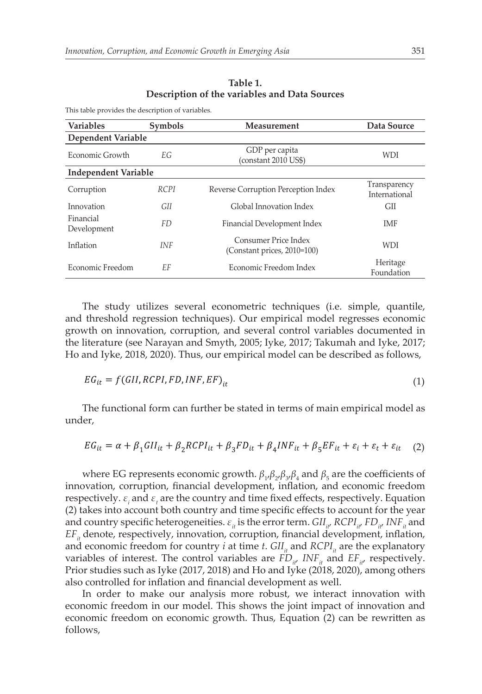| <b>Variables</b>            | <b>Symbols</b> | <b>Measurement</b>                                     | Data Source                   |
|-----------------------------|----------------|--------------------------------------------------------|-------------------------------|
| Dependent Variable          |                |                                                        |                               |
| Economic Growth             | EG.            | GDP per capita<br>(constant 2010 US\$)                 | WDI                           |
| <b>Independent Variable</b> |                |                                                        |                               |
| Corruption                  | <b>RCPI</b>    | Reverse Corruption Perception Index                    | Transparency<br>International |
| Innovation                  | GII            | Global Innovation Index                                | <b>GII</b>                    |
| Financial<br>Development    | FD             | Financial Development Index                            | <b>IMF</b>                    |
| Inflation                   | <b>INF</b>     | Consumer Price Index<br>(Constant prices, $2010=100$ ) | <b>WDI</b>                    |
| Economic Freedom            | EF             | Economic Freedom Index                                 | Heritage<br>Foundation        |

**Table 1. Description of the variables and Data Sources**

This table provides the description of variables.

The study utilizes several econometric techniques (i.e. simple, quantile, and threshold regression techniques). Our empirical model regresses economic growth on innovation, corruption, and several control variables documented in the literature (see Narayan and Smyth, 2005; Iyke, 2017; Takumah and Iyke, 2017; Ho and Iyke, 2018, 2020). Thus, our empirical model can be described as follows,

$$
EG_{it} = f(GII, RCPI, FD, INF, EF)_{it}
$$
\n<sup>(1)</sup>

The functional form can further be stated in terms of main empirical model as under,

$$
EG_{it} = \alpha + \beta_1 G II_{it} + \beta_2 R CPI_{it} + \beta_3 FD_{it} + \beta_4 INF_{it} + \beta_5 EF_{it} + \varepsilon_i + \varepsilon_t + \varepsilon_{it} \tag{2}
$$

where EG represents economic growth.  $\beta_1 \beta_2 \beta_3 \beta_4$  and  $\beta_5$  are the coefficients of innovation, corruption, financial development, inflation, and economic freedom respectively.  $\varepsilon$ <sub>*i*</sub> and  $\varepsilon$ <sub>*t*</sub> are the country and time fixed effects, respectively. Equation (2) takes into account both country and time specific effects to account for the year and country specific heterogeneities.  $\varepsilon_{i}$  is the error term.  $GII_{i}$ ,  $RCPI_{i}$ ,  $FD_{i}$ ,  $INF_{i}$  and *EF*<sub>*it*</sub> denote, respectively, innovation, corruption, financial development, inflation, and economic freedom for country *i* at time *t*.  $GII<sub>i</sub>$  and  $RCPI<sub>i</sub>$  are the explanatory variables of interest. The control variables are  $FD_{i\mu}$  *INF*<sub>*it*</sub> and  $EF_{i\mu}$  respectively. Prior studies such as Iyke (2017, 2018) and Ho and Iyke (2018, 2020), among others also controlled for inflation and financial development as well.

In order to make our analysis more robust, we interact innovation with economic freedom in our model. This shows the joint impact of innovation and economic freedom on economic growth. Thus, Equation (2) can be rewritten as follows,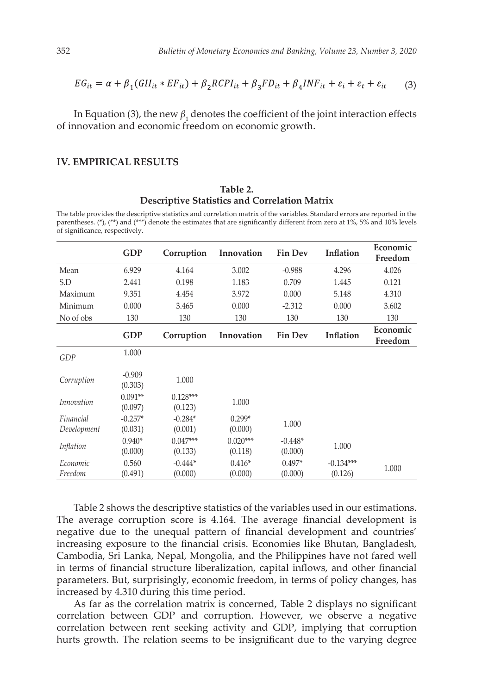$$
EG_{it} = \alpha + \beta_1 (GII_{it} * EF_{it}) + \beta_2 R CPI_{it} + \beta_3 FD_{it} + \beta_4 INF_{it} + \varepsilon_t + \varepsilon_t + \varepsilon_{it} \tag{3}
$$

In Equation (3), the new  $\beta_1$  denotes the coefficient of the joint interaction effects of innovation and economic freedom on economic growth.

### **IV. EMPIRICAL RESULTS**

#### **Table 2. Descriptive Statistics and Correlation Matrix**

The table provides the descriptive statistics and correlation matrix of the variables. Standard errors are reported in the parentheses. (\*), (\*\*) and (\*\*\*) denote the estimates that are significantly different from zero at 1%, 5% and 10% levels of significance, respectively.

|                          | <b>GDP</b>           | Corruption            | Innovation            | <b>Fin Dev</b>       | Inflation              | Economic<br>Freedom |
|--------------------------|----------------------|-----------------------|-----------------------|----------------------|------------------------|---------------------|
| Mean                     | 6.929                | 4.164                 | 3.002                 | $-0.988$             | 4.296                  | 4.026               |
| S.D                      | 2.441                | 0.198                 | 1.183                 | 0.709                | 1.445                  | 0.121               |
| Maximum                  | 9.351                | 4.454                 | 3.972                 | 0.000                | 5.148                  | 4.310               |
| Minimum                  | 0.000                | 3.465                 | 0.000                 | $-2.312$             | 0.000                  | 3.602               |
| No of obs                | 130                  | 130                   | 130                   | 130                  | 130                    | 130                 |
|                          | <b>GDP</b>           | Corruption            | Innovation            | <b>Fin Dev</b>       | Inflation              | Economic<br>Freedom |
| GDP                      | 1.000                |                       |                       |                      |                        |                     |
| Corruption               | $-0.909$<br>(0.303)  | 1.000                 |                       |                      |                        |                     |
| Innovation               | $0.091**$<br>(0.097) | $0.128***$<br>(0.123) | 1.000                 |                      |                        |                     |
| Financial<br>Development | $-0.257*$<br>(0.031) | $-0.284*$<br>(0.001)  | $0.299*$<br>(0.000)   | 1.000                |                        |                     |
| Inflation                | $0.940*$<br>(0.000)  | $0.047***$<br>(0.133) | $0.020***$<br>(0.118) | $-0.448*$<br>(0.000) | 1.000                  |                     |
| Economic<br>Freedom      | 0.560<br>(0.491)     | $-0.444*$<br>(0.000)  | $0.416*$<br>(0.000)   | $0.497*$<br>(0.000)  | $-0.134***$<br>(0.126) | 1.000               |

Table 2 shows the descriptive statistics of the variables used in our estimations. The average corruption score is 4.164. The average financial development is negative due to the unequal pattern of financial development and countries' increasing exposure to the financial crisis. Economies like Bhutan, Bangladesh, Cambodia, Sri Lanka, Nepal, Mongolia, and the Philippines have not fared well in terms of financial structure liberalization, capital inflows, and other financial parameters. But, surprisingly, economic freedom, in terms of policy changes, has increased by 4.310 during this time period.

As far as the correlation matrix is concerned, Table 2 displays no significant correlation between GDP and corruption. However, we observe a negative correlation between rent seeking activity and GDP, implying that corruption hurts growth. The relation seems to be insignificant due to the varying degree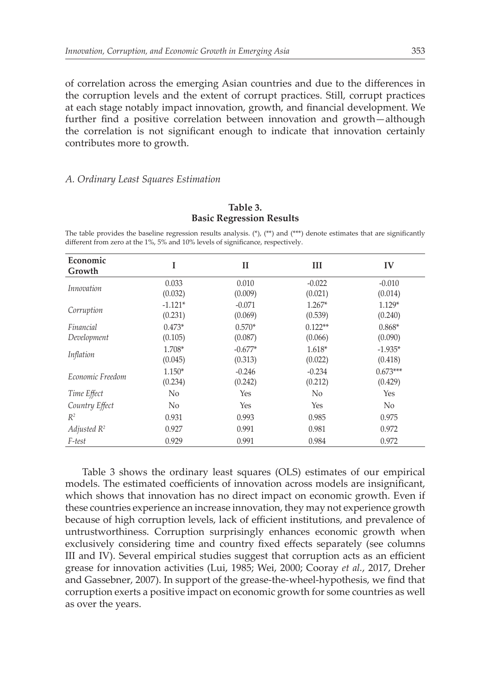of correlation across the emerging Asian countries and due to the differences in the corruption levels and the extent of corrupt practices. Still, corrupt practices at each stage notably impact innovation, growth, and financial development. We further find a positive correlation between innovation and growth—although the correlation is not significant enough to indicate that innovation certainly contributes more to growth.

#### *A. Ordinary Least Squares Estimation*

| Economic<br>Growth       | I                    | П                    | Ш                    | IV                    |
|--------------------------|----------------------|----------------------|----------------------|-----------------------|
| <i>Innovation</i>        | 0.033<br>(0.032)     | 0.010<br>(0.009)     | $-0.022$<br>(0.021)  | $-0.010$<br>(0.014)   |
| Corruption               | $-1.121*$<br>(0.231) | $-0.071$<br>(0.069)  | $1.267*$<br>(0.539)  | $1.129*$<br>(0.240)   |
| Financial<br>Development | $0.473*$<br>(0.105)  | $0.570*$<br>(0.087)  | $0.122**$<br>(0.066) | $0.868*$<br>(0.090)   |
| Inflation                | 1.708*<br>(0.045)    | $-0.677*$<br>(0.313) | $1.618*$<br>(0.022)  | $-1.935*$<br>(0.418)  |
| Economic Freedom         | $1.150*$<br>(0.234)  | $-0.246$<br>(0.242)  | $-0.234$<br>(0.212)  | $0.673***$<br>(0.429) |
| Time Effect              | No                   | Yes                  | No                   | Yes                   |
| Country Effect           | No                   | Yes                  | Yes                  | No                    |
| $R^2$                    | 0.931                | 0.993                | 0.985                | 0.975                 |
| Adjusted $R^2$           | 0.927                | 0.991                | 0.981                | 0.972                 |
| F-test                   | 0.929                | 0.991                | 0.984                | 0.972                 |

**Table 3. Basic Regression Results**

The table provides the baseline regression results analysis. (\*), (\*\*) and (\*\*\*) denote estimates that are significantly different from zero at the 1%, 5% and 10% levels of significance, respectively.

Table 3 shows the ordinary least squares (OLS) estimates of our empirical models. The estimated coefficients of innovation across models are insignificant, which shows that innovation has no direct impact on economic growth. Even if these countries experience an increase innovation, they may not experience growth because of high corruption levels, lack of efficient institutions, and prevalence of untrustworthiness. Corruption surprisingly enhances economic growth when exclusively considering time and country fixed effects separately (see columns III and IV). Several empirical studies suggest that corruption acts as an efficient grease for innovation activities (Lui, 1985; Wei, 2000; Cooray *et al.*, 2017, Dreher and Gassebner, 2007). In support of the grease-the-wheel-hypothesis, we find that corruption exerts a positive impact on economic growth for some countries as well as over the years.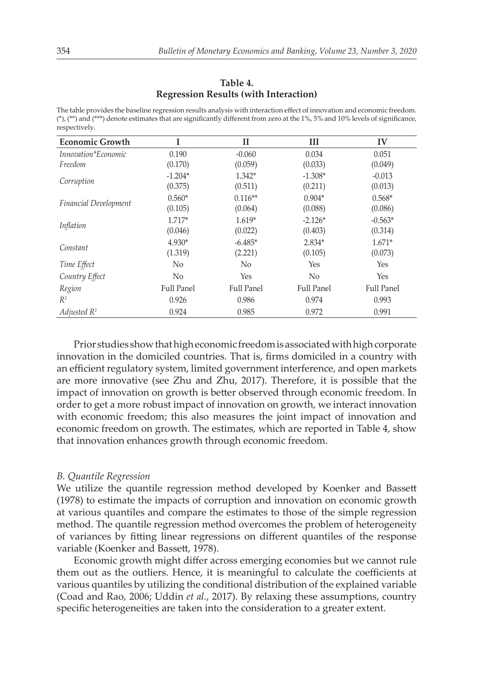#### **Table 4. Regression Results (with Interaction)**

The table provides the baseline regression results analysis with interaction effect of innovation and economic freedom. (\*), (\*\*) and (\*\*\*) denote estimates that are significantly different from zero at the 1%, 5% and 10% levels of significance, respectively.

| <b>Economic Growth</b>       |                   | П                 | Ш                 | IV                |
|------------------------------|-------------------|-------------------|-------------------|-------------------|
| Innovation*Economic          | 0.190             | $-0.060$          | 0.034             | 0.051             |
| Freedom                      | (0.170)           | (0.059)           | (0.033)           | (0.049)           |
| Corruption                   | $-1.204*$         | $1.342*$          | $-1.308*$         | $-0.013$          |
|                              | (0.375)           | (0.511)           | (0.211)           | (0.013)           |
| <b>Financial Development</b> | $0.560*$          | $0.116**$         | $0.904*$          | $0.568*$          |
|                              | (0.105)           | (0.064)           | (0.088)           | (0.086)           |
| Inflation                    | $1.717*$          | $1.619*$          | $-2.126*$         | $-0.563*$         |
|                              | (0.046)           | (0.022)           | (0.403)           | (0.314)           |
| Constant                     | 4.930*            | $-6.485*$         | 2.834*            | $1.671*$          |
|                              | (1.319)           | (2.221)           | (0.105)           | (0.073)           |
| Time Effect                  | N <sub>0</sub>    | No                | Yes               | Yes               |
| Country Effect               | No                | <b>Yes</b>        | No                | Yes               |
| Region                       | <b>Full Panel</b> | <b>Full Panel</b> | <b>Full Panel</b> | <b>Full Panel</b> |
| $R^2$                        | 0.926             | 0.986             | 0.974             | 0.993             |
| Adjusted $R^2$               | 0.924             | 0.985             | 0.972             | 0.991             |

Prior studies show that high economic freedom is associated with high corporate innovation in the domiciled countries. That is, firms domiciled in a country with an efficient regulatory system, limited government interference, and open markets are more innovative (see Zhu and Zhu, 2017). Therefore, it is possible that the impact of innovation on growth is better observed through economic freedom. In order to get a more robust impact of innovation on growth, we interact innovation with economic freedom; this also measures the joint impact of innovation and economic freedom on growth. The estimates, which are reported in Table 4, show that innovation enhances growth through economic freedom.

#### *B. Quantile Regression*

We utilize the quantile regression method developed by Koenker and Bassett (1978) to estimate the impacts of corruption and innovation on economic growth at various quantiles and compare the estimates to those of the simple regression method. The quantile regression method overcomes the problem of heterogeneity of variances by fitting linear regressions on different quantiles of the response variable (Koenker and Bassett, 1978).

Economic growth might differ across emerging economies but we cannot rule them out as the outliers. Hence, it is meaningful to calculate the coefficients at various quantiles by utilizing the conditional distribution of the explained variable (Coad and Rao, 2006; Uddin *et al.*, 2017). By relaxing these assumptions, country specific heterogeneities are taken into the consideration to a greater extent.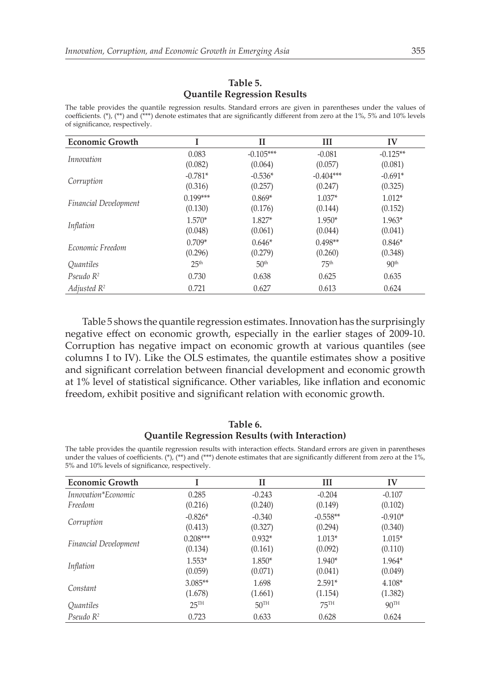## **Table 5. Quantile Regression Results**

The table provides the quantile regression results. Standard errors are given in parentheses under the values of coefficients. (\*), (\*\*) and (\*\*\*) denote estimates that are significantly different from zero at the 1%, 5% and 10% levels of significance, respectively.

| <b>Economic Growth</b>       |                  | $_{II}$          | Ш                | IV               |
|------------------------------|------------------|------------------|------------------|------------------|
| <i>Innovation</i>            | 0.083            | $-0.105***$      | $-0.081$         | $-0.125**$       |
|                              | (0.082)          | (0.064)          | (0.057)          | (0.081)          |
| Corruption                   | $-0.781*$        | $-0.536*$        | $-0.404***$      | $-0.691*$        |
|                              | (0.316)          | (0.257)          | (0.247)          | (0.325)          |
| <b>Financial Development</b> | $0.199***$       | $0.869*$         | $1.037*$         | $1.012*$         |
|                              | (0.130)          | (0.176)          | (0.144)          | (0.152)          |
| Inflation                    | 1.570*           | 1.827*           | $1.950*$         | $1.963*$         |
|                              | (0.048)          | (0.061)          | (0.044)          | (0.041)          |
| Economic Freedom             | $0.709*$         | $0.646*$         | $0.498**$        | $0.846*$         |
|                              | (0.296)          | (0.279)          | (0.260)          | (0.348)          |
| Quantiles                    | 25 <sup>th</sup> | 50 <sup>th</sup> | 75 <sup>th</sup> | 90 <sup>th</sup> |
| Pseudo $R^2$                 | 0.730            | 0.638            | 0.625            | 0.635            |
| Adjusted $R^2$               | 0.721            | 0.627            | 0.613            | 0.624            |

Table 5 shows the quantile regression estimates. Innovation has the surprisingly negative effect on economic growth, especially in the earlier stages of 2009-10. Corruption has negative impact on economic growth at various quantiles (see columns I to IV). Like the OLS estimates, the quantile estimates show a positive and significant correlation between financial development and economic growth at 1% level of statistical significance. Other variables, like inflation and economic freedom, exhibit positive and significant relation with economic growth.

## **Table 6. Quantile Regression Results (with Interaction)**

The table provides the quantile regression results with interaction effects. Standard errors are given in parentheses under the values of coefficients. (\*), (\*\*) and (\*\*\*) denote estimates that are significantly different from zero at the 1%, 5% and 10% levels of significance, respectively.

| <b>Economic Growth</b>       |                    | п                | Ш                | IV               |
|------------------------------|--------------------|------------------|------------------|------------------|
|                              |                    |                  |                  |                  |
| Innovation*Economic          | 0.285              | $-0.243$         | $-0.204$         | $-0.107$         |
| Freedom                      | (0.216)            | (0.240)          | (0.149)          | (0.102)          |
|                              | $-0.826*$          | $-0.340$         | $-0.558**$       | $-0.910*$        |
| Corruption                   | (0.413)            | (0.327)          | (0.294)          | (0.340)          |
|                              | $0.208***$         | $0.932*$         | $1.013*$         | $1.015*$         |
| <b>Financial Development</b> | (0.134)            | (0.161)          | (0.092)          | (0.110)          |
|                              | $1.553*$           | 1.850*           | $1.940*$         | 1.964*           |
| Inflation                    | (0.059)            | (0.071)          | (0.041)          | (0.049)          |
| Constant                     | $3.085**$          | 1.698            | $2.591*$         | $4.108*$         |
|                              | (1.678)            | (1.661)          | (1.154)          | (1.382)          |
| Quantiles                    | $25$ <sup>TH</sup> | 50 <sup>TH</sup> | 75 <sup>TH</sup> | 90 <sup>TH</sup> |
| Pseudo $R^2$                 | 0.723              | 0.633            | 0.628            | 0.624            |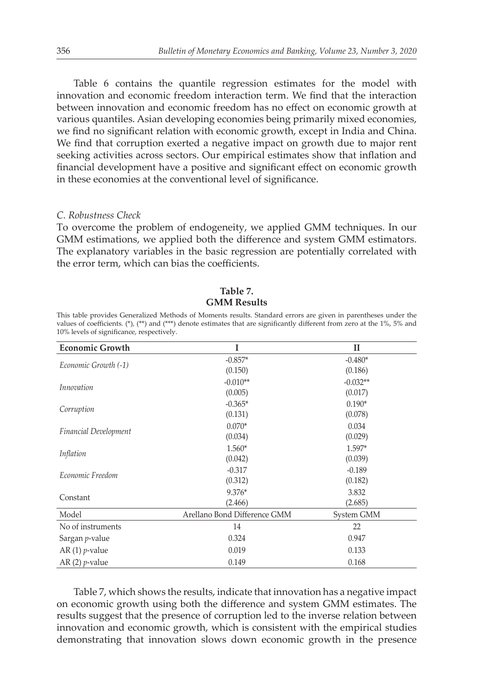Table 6 contains the quantile regression estimates for the model with innovation and economic freedom interaction term. We find that the interaction between innovation and economic freedom has no effect on economic growth at various quantiles. Asian developing economies being primarily mixed economies, we find no significant relation with economic growth, except in India and China. We find that corruption exerted a negative impact on growth due to major rent seeking activities across sectors. Our empirical estimates show that inflation and financial development have a positive and significant effect on economic growth in these economies at the conventional level of significance.

#### *C. Robustness Check*

To overcome the problem of endogeneity, we applied GMM techniques. In our GMM estimations, we applied both the difference and system GMM estimators. The explanatory variables in the basic regression are potentially correlated with the error term, which can bias the coefficients.

| TO% levels of significance, respectively. |                              |              |  |  |  |
|-------------------------------------------|------------------------------|--------------|--|--|--|
| <b>Economic Growth</b>                    | I                            | $\mathbf{I}$ |  |  |  |
| Economic Growth (-1)                      | $-0.857*$                    | $-0.480*$    |  |  |  |
|                                           | (0.150)                      | (0.186)      |  |  |  |
| <i>Innovation</i>                         | $-0.010**$                   | $-0.032**$   |  |  |  |
|                                           | (0.005)                      | (0.017)      |  |  |  |
|                                           | $-0.365*$                    | $0.190*$     |  |  |  |
| Corruption                                | (0.131)                      | (0.078)      |  |  |  |
|                                           | $0.070*$                     | 0.034        |  |  |  |
| <b>Financial Development</b>              | (0.034)                      | (0.029)      |  |  |  |
| Inflation                                 | $1.560*$                     | $1.597*$     |  |  |  |
|                                           | (0.042)                      | (0.039)      |  |  |  |
| Economic Freedom                          | $-0.317$                     | $-0.189$     |  |  |  |
|                                           | (0.312)                      | (0.182)      |  |  |  |
| Constant                                  | $9.376*$                     | 3.832        |  |  |  |
|                                           | (2.466)                      | (2.685)      |  |  |  |
| Model                                     | Arellano Bond Difference GMM | System GMM   |  |  |  |
| No of instruments                         | 14                           | 22           |  |  |  |
| Sargan <i>p</i> -value                    | 0.324                        | 0.947        |  |  |  |
| AR $(1)$ <i>p</i> -value                  | 0.019                        | 0.133        |  |  |  |
| AR $(2)$ <i>p</i> -value                  | 0.149                        | 0.168        |  |  |  |

This table provides Generalized Methods of Moments results. Standard errors are given in parentheses under the values of coefficients. (\*), (\*\*) and (\*\*\*) denote estimates that are significantly different from zero at the 1%, 5% and 10% levels of significance, respectively.

**Table 7. GMM Results**

Table 7, which shows the results, indicate that innovation has a negative impact on economic growth using both the difference and system GMM estimates. The results suggest that the presence of corruption led to the inverse relation between innovation and economic growth, which is consistent with the empirical studies demonstrating that innovation slows down economic growth in the presence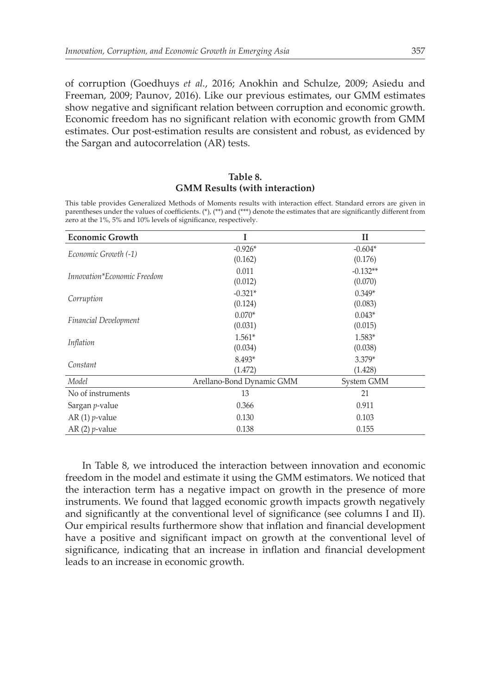of corruption (Goedhuys *et al.*, 2016; Anokhin and Schulze, 2009; Asiedu and Freeman, 2009; Paunov, 2016). Like our previous estimates, our GMM estimates show negative and significant relation between corruption and economic growth. Economic freedom has no significant relation with economic growth from GMM estimates. Our post-estimation results are consistent and robust, as evidenced by the Sargan and autocorrelation (AR) tests.

#### **Table 8. GMM Results (with interaction)**

This table provides Generalized Methods of Moments results with interaction effect. Standard errors are given in parentheses under the values of coefficients. (\*), (\*\*) and (\*\*\*) denote the estimates that are significantly different from zero at the 1%, 5% and 10% levels of significance, respectively.

| <b>Economic Growth</b>       |                           | п          |
|------------------------------|---------------------------|------------|
| Economic Growth (-1)         | $-0.926*$                 | $-0.604*$  |
|                              | (0.162)                   | (0.176)    |
| Innovation*Economic Freedom  | 0.011                     | $-0.132**$ |
|                              | (0.012)                   | (0.070)    |
|                              | $-0.321*$                 | $0.349*$   |
| Corruption                   | (0.124)                   | (0.083)    |
|                              | $0.070*$                  | $0.043*$   |
| <b>Financial Development</b> | (0.031)                   | (0.015)    |
|                              | $1.561*$                  | 1.583*     |
| Inflation                    | (0.034)                   | (0.038)    |
| Constant                     | 8.493*                    | $3.379*$   |
|                              | (1.472)                   | (1.428)    |
| Model                        | Arellano-Bond Dynamic GMM | System GMM |
| No of instruments            | 13                        | 21         |
| Sargan <i>p</i> -value       | 0.366                     | 0.911      |
| AR $(1)$ <i>p</i> -value     | 0.130                     | 0.103      |
| AR $(2)$ <i>p</i> -value     | 0.138                     | 0.155      |

In Table 8, we introduced the interaction between innovation and economic freedom in the model and estimate it using the GMM estimators. We noticed that the interaction term has a negative impact on growth in the presence of more instruments. We found that lagged economic growth impacts growth negatively and significantly at the conventional level of significance (see columns I and II). Our empirical results furthermore show that inflation and financial development have a positive and significant impact on growth at the conventional level of significance, indicating that an increase in inflation and financial development leads to an increase in economic growth.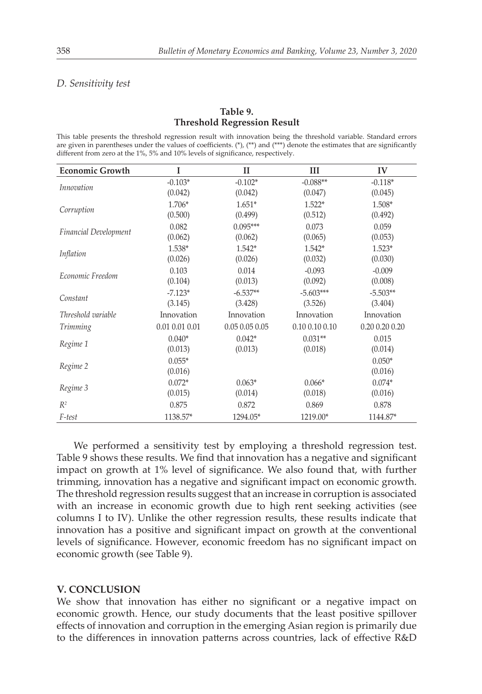#### *D. Sensitivity test*

## **Table 9. Threshold Regression Result**

This table presents the threshold regression result with innovation being the threshold variable. Standard errors are given in parentheses under the values of coefficients. (\*), (\*\*) and (\*\*\*) denote the estimates that are significantly different from zero at the 1%, 5% and 10% levels of significance, respectively.

| <b>Economic Growth</b> | I              | $\mathbf{I}$   | III                | IV             |
|------------------------|----------------|----------------|--------------------|----------------|
| Innovation             | $-0.103*$      | $-0.102*$      | $-0.088**$         | $-0.118*$      |
|                        | (0.042)        | (0.042)        | (0.047)            | (0.045)        |
| Corruption             | 1.706*         | $1.651*$       | $1.522*$           | 1.508*         |
|                        | (0.500)        | (0.499)        | (0.512)            | (0.492)        |
| Financial Development  | 0.082          | $0.095***$     | 0.073              | 0.059          |
|                        | (0.062)        | (0.062)        | (0.065)            | (0.053)        |
| Inflation              | 1.538*         | $1.542*$       | $1.542*$           | 1.523*         |
|                        | (0.026)        | (0.026)        | (0.032)            | (0.030)        |
| Economic Freedom       | 0.103          | 0.014          | $-0.093$           | $-0.009$       |
|                        | (0.104)        | (0.013)        | (0.092)            | (0.008)        |
| Constant               | $-7.123*$      | $-6.537**$     | $-5.603***$        | $-5.503**$     |
|                        | (3.145)        | (3.428)        | (3.526)            | (3.404)        |
| Threshold variable     | Innovation     | Innovation     | Innovation         | Innovation     |
| <b>Trimming</b>        | 0.01 0.01 0.01 | 0.05 0.05 0.05 | $0.10\ 0.10\ 0.10$ | 0.20 0.20 0.20 |
| Regime 1               | $0.040*$       | $0.042*$       | $0.031**$          | 0.015          |
|                        | (0.013)        | (0.013)        | (0.018)            | (0.014)        |
| Regime 2               | $0.055*$       |                |                    | $0.050*$       |
|                        | (0.016)        |                |                    | (0.016)        |
|                        | $0.072*$       | $0.063*$       | $0.066*$           | $0.074*$       |
| Regime 3               | (0.015)        | (0.014)        | (0.018)            | (0.016)        |
| $R^2$                  | 0.875          | 0.872          | 0.869              | 0.878          |
| F-test                 | 1138.57*       | 1294.05*       | 1219.00*           | 1144.87*       |

We performed a sensitivity test by employing a threshold regression test. Table 9 shows these results. We find that innovation has a negative and significant impact on growth at 1% level of significance. We also found that, with further trimming, innovation has a negative and significant impact on economic growth. The threshold regression results suggest that an increase in corruption is associated with an increase in economic growth due to high rent seeking activities (see columns I to IV). Unlike the other regression results, these results indicate that innovation has a positive and significant impact on growth at the conventional levels of significance. However, economic freedom has no significant impact on economic growth (see Table 9).

#### **V. CONCLUSION**

We show that innovation has either no significant or a negative impact on economic growth. Hence, our study documents that the least positive spillover effects of innovation and corruption in the emerging Asian region is primarily due to the differences in innovation patterns across countries, lack of effective R&D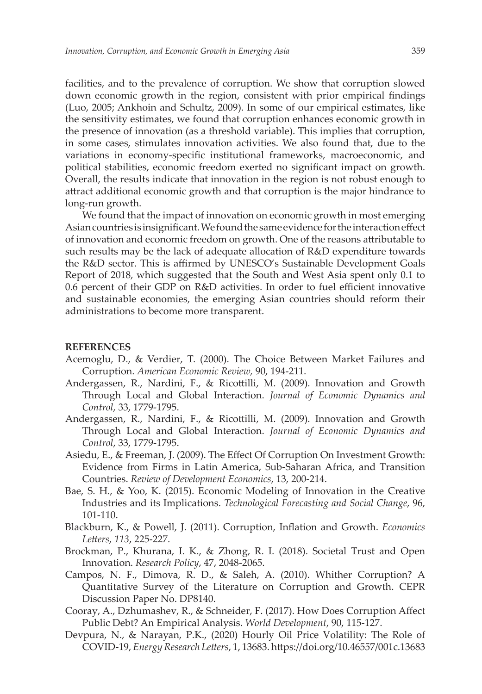facilities, and to the prevalence of corruption. We show that corruption slowed down economic growth in the region, consistent with prior empirical findings (Luo, 2005; Ankhoin and Schultz, 2009). In some of our empirical estimates, like the sensitivity estimates, we found that corruption enhances economic growth in the presence of innovation (as a threshold variable). This implies that corruption, in some cases, stimulates innovation activities. We also found that, due to the variations in economy-specific institutional frameworks, macroeconomic, and political stabilities, economic freedom exerted no significant impact on growth. Overall, the results indicate that innovation in the region is not robust enough to attract additional economic growth and that corruption is the major hindrance to long-run growth.

We found that the impact of innovation on economic growth in most emerging Asian countries is insignificant. We found the same evidence for the interaction effect of innovation and economic freedom on growth. One of the reasons attributable to such results may be the lack of adequate allocation of R&D expenditure towards the R&D sector. This is affirmed by UNESCO's Sustainable Development Goals Report of 2018, which suggested that the South and West Asia spent only 0.1 to 0.6 percent of their GDP on R&D activities. In order to fuel efficient innovative and sustainable economies, the emerging Asian countries should reform their administrations to become more transparent.

#### **REFERENCES**

- Acemoglu, D., & Verdier, T. (2000). The Choice Between Market Failures and Corruption. *American Economic Review,* 90, 194-211.
- Andergassen, R., Nardini, F., & Ricottilli, M. (2009). Innovation and Growth Through Local and Global Interaction. *Journal of Economic Dynamics and Control*, 33, 1779-1795.
- Andergassen, R., Nardini, F., & Ricottilli, M. (2009). Innovation and Growth Through Local and Global Interaction. *Journal of Economic Dynamics and Control*, 33, 1779-1795.
- Asiedu, E., & Freeman, J. (2009). The Effect Of Corruption On Investment Growth: Evidence from Firms in Latin America, Sub-Saharan Africa, and Transition Countries. *Review of Development Economics*, 13, 200-214.
- Bae, S. H., & Yoo, K. (2015). Economic Modeling of Innovation in the Creative Industries and its Implications. *Technological Forecasting and Social Change*, 96, 101-110.
- Blackburn, K., & Powell, J. (2011). Corruption, Inflation and Growth. *Economics Letters*, *113*, 225-227.
- Brockman, P., Khurana, I. K., & Zhong, R. I. (2018). Societal Trust and Open Innovation. *Research Policy*, 47, 2048-2065.
- Campos, N. F., Dimova, R. D., & Saleh, A. (2010). Whither Corruption? A Quantitative Survey of the Literature on Corruption and Growth. CEPR Discussion Paper No. DP8140.
- Cooray, A., Dzhumashev, R., & Schneider, F. (2017). How Does Corruption Affect Public Debt? An Empirical Analysis. *World Development*, 90, 115-127.
- Devpura, N., & Narayan, P.K., (2020) Hourly Oil Price Volatility: The Role of COVID-19, *Energy Research Letters*, 1, 13683. https://doi.org/10.46557/001c.13683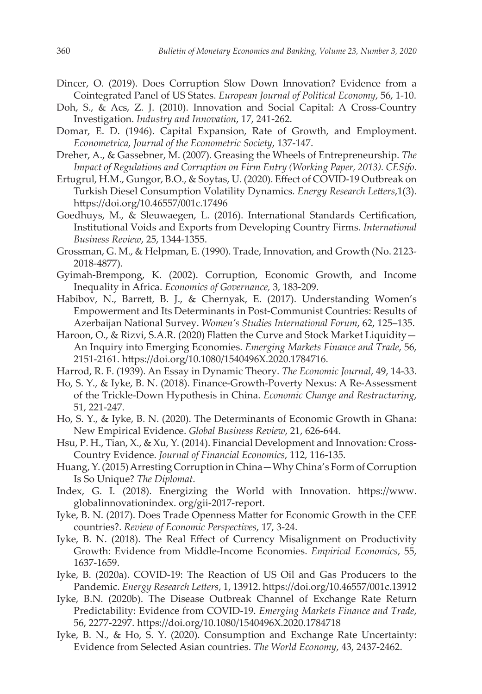- Dincer, O. (2019). Does Corruption Slow Down Innovation? Evidence from a Cointegrated Panel of US States. *European Journal of Political Economy*, 56, 1-10.
- Doh, S., & Acs, Z. J. (2010). Innovation and Social Capital: A Cross-Country Investigation. *Industry and Innovation*, 17, 241-262.
- Domar, E. D. (1946). Capital Expansion, Rate of Growth, and Employment. *Econometrica, Journal of the Econometric Society*, 137-147.
- Dreher, A., & Gassebner, M. (2007). Greasing the Wheels of Entrepreneurship. *The Impact of Regulations and Corruption on Firm Entry (Working Paper, 2013). CESifo*.
- Ertugrul, H.M., Gungor, B.O., & Soytas, U. (2020). Effect of COVID-19 Outbreak on Turkish Diesel Consumption Volatility Dynamics. *Energy Research Letters*,1(3). https://doi.org/10.46557/001c.17496
- Goedhuys, M., & Sleuwaegen, L. (2016). International Standards Certification, Institutional Voids and Exports from Developing Country Firms. *International Business Review*, 25, 1344-1355.
- Grossman, G. M., & Helpman, E. (1990). Trade, Innovation, and Growth (No. 2123- 2018-4877).
- Gyimah-Brempong, K. (2002). Corruption, Economic Growth, and Income Inequality in Africa. *Economics of Governance,* 3, 183-209.
- Habibov, N., Barrett, B. J., & Chernyak, E. (2017). Understanding Women's Empowerment and Its Determinants in Post-Communist Countries: Results of Azerbaijan National Survey. *Women's Studies International Forum*, 62, 125–135.
- Haroon, O., & Rizvi, S.A.R. (2020) Flatten the Curve and Stock Market Liquidity— An Inquiry into Emerging Economies. *Emerging Markets Finance and Trade*, 56, 2151-2161. https://doi.org/10.1080/1540496X.2020.1784716.
- Harrod, R. F. (1939). An Essay in Dynamic Theory. *The Economic Journal*, 49, 14-33.
- Ho, S. Y., & Iyke, B. N. (2018). Finance-Growth-Poverty Nexus: A Re-Assessment of the Trickle-Down Hypothesis in China. *Economic Change and Restructuring*, 51, 221-247.
- Ho, S. Y., & Iyke, B. N. (2020). The Determinants of Economic Growth in Ghana: New Empirical Evidence. *Global Business Review*, 21, 626-644.
- Hsu, P. H., Tian, X., & Xu, Y. (2014). Financial Development and Innovation: Cross-Country Evidence. *Journal of Financial Economics*, 112, 116-135.
- Huang, Y. (2015) Arresting Corruption in China—Why China's Form of Corruption Is So Unique? *The Diplomat*.
- Index, G. I. (2018). Energizing the World with Innovation. https://www. globalinnovationindex. org/gii-2017-report.
- Iyke, B. N. (2017). Does Trade Openness Matter for Economic Growth in the CEE countries?. *Review of Economic Perspectives*, 17, 3-24.
- Iyke, B. N. (2018). The Real Effect of Currency Misalignment on Productivity Growth: Evidence from Middle-Income Economies. *Empirical Economics*, 55, 1637-1659.
- Iyke, B. (2020a). COVID-19: The Reaction of US Oil and Gas Producers to the Pandemic. *Energy Research Letters*, 1, 13912. https://doi.org/10.46557/001c.13912
- Iyke, B.N. (2020b). The Disease Outbreak Channel of Exchange Rate Return Predictability: Evidence from COVID-19. *Emerging Markets Finance and Trade*, 56, 2277-2297. https://doi.org/10.1080/1540496X.2020.1784718
- Iyke, B. N., & Ho, S. Y. (2020). Consumption and Exchange Rate Uncertainty: Evidence from Selected Asian countries. *The World Economy*, 43, 2437-2462.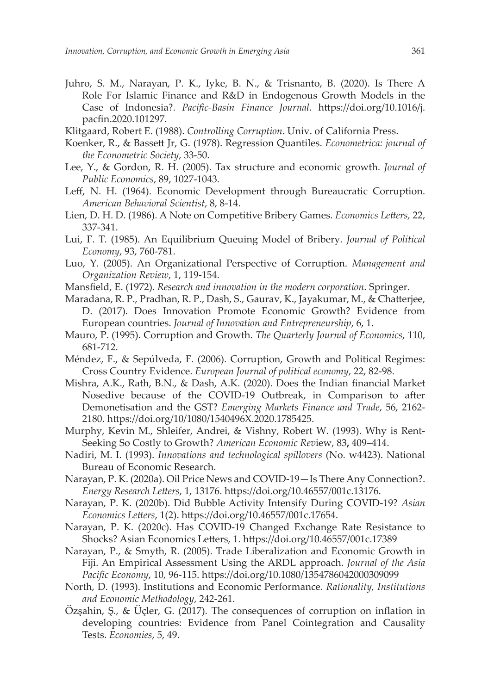- Juhro, S. M., Narayan, P. K., Iyke, B. N., & Trisnanto, B. (2020). Is There A Role For Islamic Finance and R&D in Endogenous Growth Models in the Case of Indonesia?. *Pacific-Basin Finance Journal*. https://doi.org/10.1016/j. pacfin.2020.101297.
- Klitgaard, Robert E. (1988). *Controlling Corruption*. Univ. of California Press.
- Koenker, R., & Bassett Jr, G. (1978). Regression Quantiles. *Econometrica: journal of the Econometric Society*, 33-50.
- Lee, Y., & Gordon, R. H. (2005). Tax structure and economic growth. *Journal of Public Economics*, 89, 1027-1043.
- Leff, N. H. (1964). Economic Development through Bureaucratic Corruption. *American Behavioral Scientist*, 8, 8-14.
- Lien, D. H. D. (1986). A Note on Competitive Bribery Games. *Economics Letters,* 22, 337-341.
- Lui, F. T. (1985). An Equilibrium Queuing Model of Bribery. *Journal of Political Economy*, 93, 760-781.
- Luo, Y. (2005). An Organizational Perspective of Corruption. *Management and Organization Review*, 1, 119-154.
- Mansfield, E. (1972). *Research and innovation in the modern corporation*. Springer.
- Maradana, R. P., Pradhan, R. P., Dash, S., Gaurav, K., Jayakumar, M., & Chatterjee, D. (2017). Does Innovation Promote Economic Growth? Evidence from European countries. *Journal of Innovation and Entrepreneurship*, 6, 1.
- Mauro, P. (1995). Corruption and Growth. *The Quarterly Journal of Economics*, 110, 681-712.
- Méndez, F., & Sepúlveda, F. (2006). Corruption, Growth and Political Regimes: Cross Country Evidence. *European Journal of political economy*, 22, 82-98.
- Mishra, A.K., Rath, B.N., & Dash, A.K. (2020). Does the Indian financial Market Nosedive because of the COVID-19 Outbreak, in Comparison to after Demonetisation and the GST? *Emerging Markets Finance and Trade*, 56, 2162- 2180. https://doi.org/10/1080/1540496X.2020.1785425.
- Murphy, Kevin M., Shleifer, Andrei, & Vishny, Robert W. (1993). Why is Rent-Seeking So Costly to Growth? *American Economic Rev*iew, 83**,** 409–414.
- Nadiri, M. I. (1993). *Innovations and technological spillovers* (No. w4423). National Bureau of Economic Research.
- Narayan, P. K. (2020a). Oil Price News and COVID-19—Is There Any Connection?. *Energy Research Letters*, 1, 13176. https://doi.org/10.46557/001c.13176.
- Narayan, P. K. (2020b). Did Bubble Activity Intensify During COVID-19? *Asian Economics Letters*, 1(2). https://doi.org/10.46557/001c.17654.
- Narayan, P. K. (2020c). Has COVID-19 Changed Exchange Rate Resistance to Shocks? Asian Economics Letters, 1. https://doi.org/10.46557/001c.17389
- Narayan, P., & Smyth, R. (2005). Trade Liberalization and Economic Growth in Fiji. An Empirical Assessment Using the ARDL approach. *Journal of the Asia Pacific Economy*, 10, 96-115. https://doi.org/10.1080/1354786042000309099
- North, D. (1993). Institutions and Economic Performance. *Rationality, Institutions and Economic Methodology,* 242-261.
- Özşahin, Ş., & Üçler, G. (2017). The consequences of corruption on inflation in developing countries: Evidence from Panel Cointegration and Causality Tests. *Economies*, 5, 49.